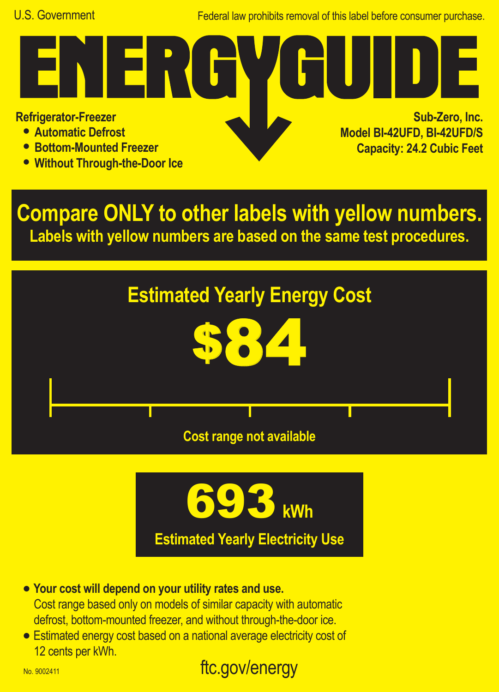Federal law prohibits removal of this label before consumer purchase.

**Refrigerator-Freezer**

- **• Automatic Defrost**
- **• Bottom-Mounted Freezer**
- **• Without Through-the-Door Ice**

<u>ra W</u>

**Sub-Zero, Inc. Model BI-42UFD, BI-42UFD/S Capacity: 24.2 Cubic Feet**

**Compare ONLY to other labels with yellow numbers. Labels with yellow numbers are based on the same test procedures.**





- **• Your cost will depend on your utility rates and use.** Cost range based only on models of similar capacity with automatic defrost, bottom-mounted freezer, and without through-the-door ice.
- **•** Estimated energy cost based on a national average electricity cost of 12 cents per kWh.